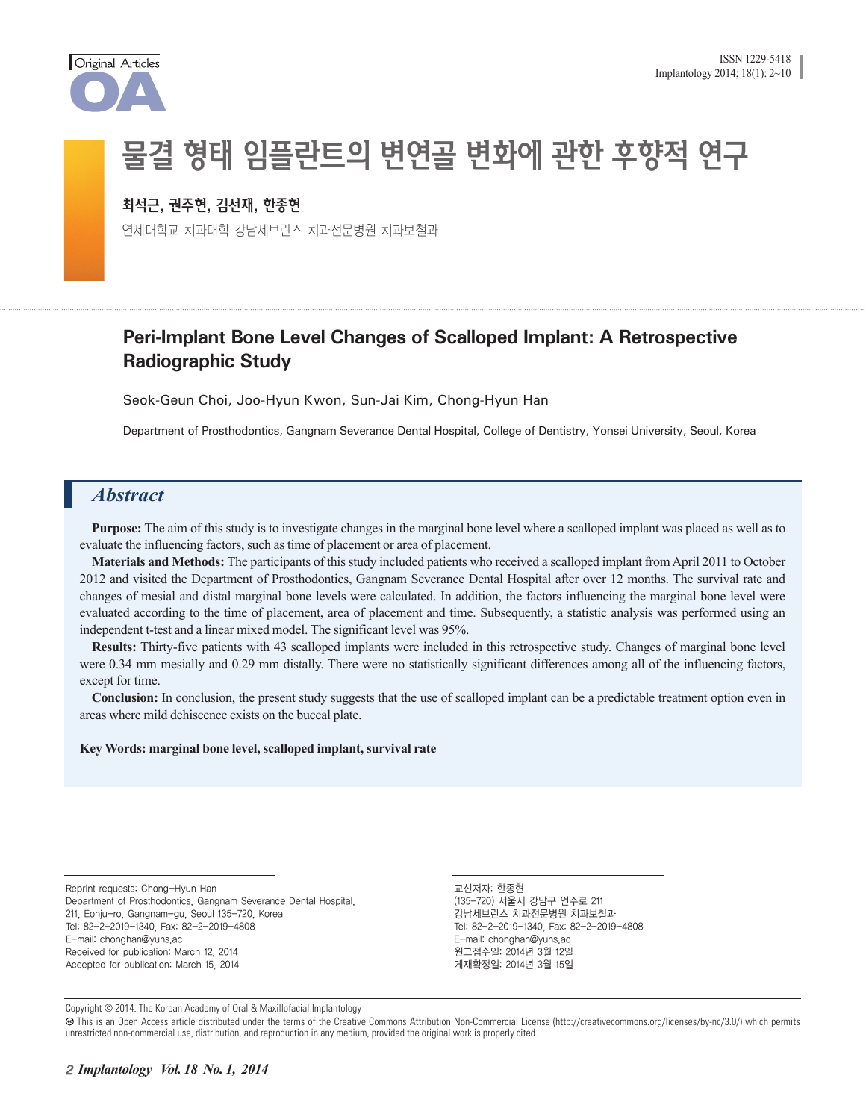

# 물결 형태 임플란트의 변연골 변화에 관한 후향적 연구

#### 최석근, 권주현, 김선재, 한종현

연세대학교 치과대학 강남세브란스 치과전문병원 치과보철과

### **Peri-Implant Bone Level Changes of Scalloped Implant: A Retrospective Radiographic Study**

Seok-Geun Choi, Joo-Hyun Kwon, Sun-Jai Kim, Chong-Hyun Han

Department of Prosthodontics, Gangnam Severance Dental Hospital, College of Dentistry, Yonsei University, Seoul, Korea

#### *Abstract*

**Purpose:** The aim of this study is to investigate changes in the marginal bone level where a scalloped implant was placed as well as to evaluate the influencing factors, such as time of placement or area of placement.

**Materials and Methods:** The participants of this study included patients who received a scalloped implant from April 2011 to October 2012 and visited the Department of Prosthodontics, Gangnam Severance Dental Hospital after over 12 months. The survival rate and changes of mesial and distal marginal bone levels were calculated. In addition, the factors influencing the marginal bone level were evaluated according to the time of placement, area of placement and time. Subsequently, a statistic analysis was performed using an independent t-test and a linear mixed model. The significant level was 95%.

**Results:** Thirty-five patients with 43 scalloped implants were included in this retrospective study. Changes of marginal bone level were 0.34 mm mesially and 0.29 mm distally. There were no statistically significant differences among all of the influencing factors, except for time.

**Conclusion:** In conclusion, the present study suggests that the use of scalloped implant can be a predictable treatment option even in areas where mild dehiscence exists on the buccal plate.

#### **Key Words: marginal bone level, scalloped implant, survival rate**

Reprint requests: Chong-Hyun Han Department of Prosthodontics, Gangnam Severance Dental Hospital, 211, Eonju-ro, Gangnam-gu, Seoul 135-720, Korea Tel: 82-2-2019-1340, Fax: 82-2-2019-4808 E-mail: chonghan@yuhs.ac Received for publication: March 12, 2014 Accepted for publication: March 15, 2014

교신저자: 한종현 (135-720) 서울시 강남구 언주로 211 강남세브란스 치과전문병원 치과보철과 Tel: 82-2-2019-1340, Fax: 82-2-2019-4808 E-mail: chonghan@yuhs.ac 원고접수일: 2014년 3월 12일 게재확정일: 2014년 3월 15일

Copyright © 2014. The Korean Academy of Oral & Maxillofacial Implantology

 This is an Open Access article distributed under the terms of the Creative Commons Attribution Non-Commercial License (http://creativecommons.org/licenses/by-nc/3.0/) which permits unrestricted non-commercial use, distribution, and reproduction in any medium, provided the original work is properly cited.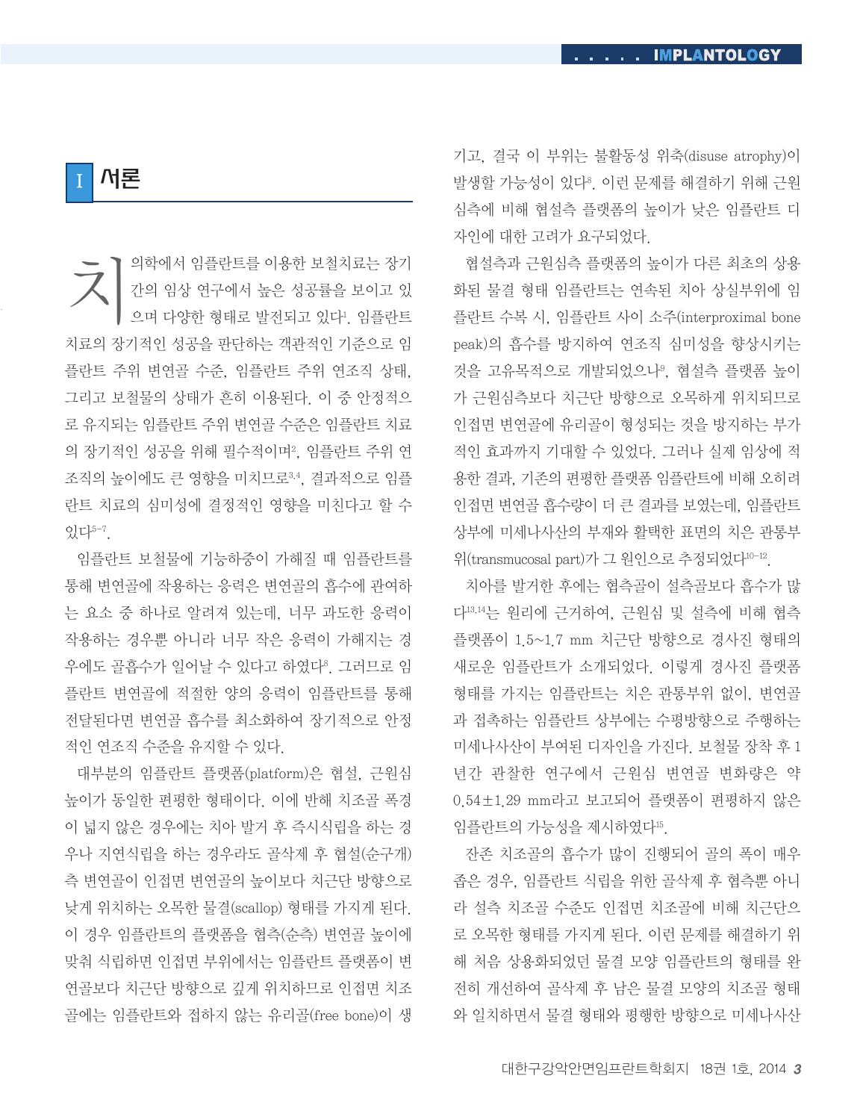I 서론

치의학에서 임플란트를 이용한 보철치료는 장기 간의 임상 연구에서 높은 성공률을 보이고 있 으며 다양한 형태로 발전되고 있다!. 임플란트 치료의 장기적인 성공을 판단하는 객관적인 기준으로 임 플란트 주위 변연골 수준, 임플란트 주위 연조직 상태, 그리고 보철물의 상태가 흔히 이용된다. 이 중 안정적으 로 유지되는 임플란트 주위 변연골 수준은 임플란트 치료 의 장기적인 성공을 위해 필수적이며?, 임플란트 주위 연 조직의 높이에도 큰 영향을 미치므로3,4, 결과적으로 임플 란트 치료의 심미성에 결정적인 영향을 미친다고 할 수  $Q$ <sub>2</sub> $L$ <sup>5-7</sup>

임플란트 보철물에 기능하중이 가해질 때 임플란트를 통해 변연골에 작용하는 응력은 변연골의 흡수에 관여하 는 요소 중 하나로 알려져 있는데, 너무 과도한 응력이 작용하는 경우뿐 아니라 너무 작은 응력이 가해지는 경 우에도 골흡수가 일어날 수 있다고 하였다º. 그러므로 임 플란트 변연골에 적절한 양의 응력이 임플란트를 통해 전달된다면 변연골 흡수를 최소화하여 장기적으로 안정 적인 연조직 수준을 유지할 수 있다.

대부분의 임플란트 플랫폼(platform)은 협설, 근원심 높이가 동일한 편평한 형태이다. 이에 반해 치조골 폭경 이 넓지 않은 경우에는 치아 발거 후 즉시식립을 하는 경 우나 지연식립을 하는 경우라도 골삭제 후 협설(순구개) 측 변연골이 인접면 변연골의 높이보다 치근단 방향으로 낮게 위치하는 오목한 물결(scallop) 형태를 가지게 된다. 이 경우 임플란트의 플랫폼을 협측(순측) 변연골 높이에 맞춰 식립하면 인접면 부위에서는 임플란트 플랫폼이 변 연골보다 치근단 방향으로 깊게 위치하므로 인접면 치조 골에는 임플란트와 접하지 않는 유리골(free bone)이 생

기고, 결국 이 부위는 불활동성 위축(disuse atrophy)이 발생할 가능성이 있다8. 이런 문제를 해결하기 위해 근원 심측에 비해 협설측 플랫폼의 높이가 낮은 임플란트 디 자인에 대한 고려가 요구되었다.

협설측과 근원심측 플랫폼의 높이가 다른 최초의 상용 화된 물결 형태 임플란트는 연속된 치아 상실부위에 임 플란트 수복 시, 임플란트 사이 소주(interproximal bone peak)의 흡수를 방지하여 연조직 심미성을 향상시키는 것을 고유목적으로 개발되었으나9, 협설측 플랫폼 높이 가 근원심측보다 치근단 방향으로 오목하게 위치되므로 인접면 변연골에 유리골이 형성되는 것을 방지하는 부가 적인 효과까지 기대할 수 있었다. 그러나 실제 임상에 적 용한 결과, 기존의 편평한 플랫폼 임플란트에 비해 오히려 인접면 변연골 흡수량이 더 큰 결과를 보였는데, 임플란트 상부에 미세나사산의 부재와 활택한 표면의 치은 관통부 위(transmucosal part)가 그 원인으로 추정되었다10-12.

치아를 발거한 후에는 협측골이 설측골보다 흡수가 많 다13,14는 원리에 근거하여, 근원심 및 설측에 비해 협측 플랫폼이 1.5~1.7 mm 치근단 방향으로 경사진 형태의 새로운 임플란트가 소개되었다. 이렇게 경사진 플랫폼 형태를 가지는 임플란트는 치은 관통부위 없이, 변연골 과 접촉하는 임플란트 상부에는 수평방향으로 주행하는 미세나사산이 부여된 디자인을 가진다. 보철물 장착 후 1 년간 관찰한 연구에서 근원심 변연골 변화량은 약 0.54±1.29 mm라고 보고되어 플랫폼이 편평하지 않은 임플란트의 가능성을 제시하였다15.

잔존 치조골의 흡수가 많이 진행되어 골의 폭이 매우 좁은 경우, 임플란트 식립을 위한 골삭제 후 협측뿐 아니 라 설측 치조골 수준도 인접면 치조골에 비해 치근단으 로 오목한 형태를 가지게 된다. 이런 문제를 해결하기 위 해 처음 상용화되었던 물결 모양 임플란트의 형태를 완 전히 개선하여 골삭제 후 남은 물결 모양의 치조골 형태 와 일치하면서 물결 형태와 평행한 방향으로 미세나사산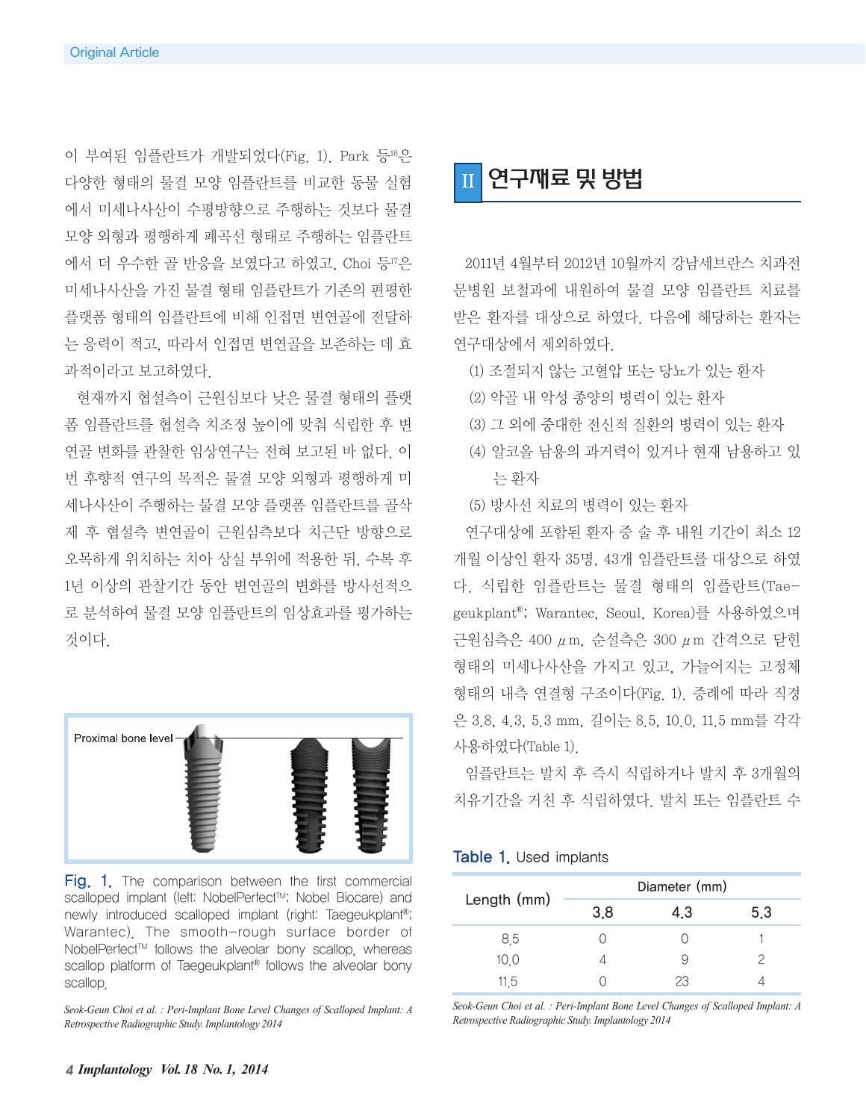이 부여된 임플란트가 개발되었다(Fig. 1). Park 등16은 다양한 형태의 물결 모양 임플란트를 비교한 동물 실험 에서 미세나사산이 수평방향으로 주행하는 것보다 물결 모양 외형과 평행하게 폐곡선 형태로 주행하는 임플란트 에서 더 우수한 골 반응을 보였다고 하였고, Choi 등17은 미세나사산을 가진 물결 형태 임플란트가 기존의 편평한 플랫폼 형태의 임플란트에 비해 인접면 변연골에 전달하 는 응력이 적고, 따라서 인접면 변연골을 보존하는 데 효 과적이라고 보고하였다.

현재까지 협설측이 근원심보다 낮은 물결 형태의 플랫 폼 임플란트를 협설측 치조정 높이에 맞춰 식립한 후 변 연골 변화를 관찰한 임상연구는 전혀 보고된 바 없다. 이 번 후향적 연구의 목적은 물결 모양 외형과 평행하게 미 세나사산이 주행하는 물결 모양 플랫폼 임플란트를 골삭 제 후 협설측 변연골이 근원심측보다 치근단 방향으로 오목하게 위치하는 치아 상실 부위에 적용한 뒤, 수복 후 1년 이상의 관찰기간 동안 변연골의 변화를 방사선적으 로 분석하여 물결 모양 임플란트의 임상효과를 평가하는 것이다.



Fig. 1. The comparison between the first commercial scalloped implant (left: NobelPerfect™; Nobel Biocare) and newly introduced scalloped implant (right: Taegeukplant®; Warantec). The smooth-rough surface border of NobelPerfect™ follows the alveolar bony scallop, whereas scallop platform of Taegeukplant<sup>®</sup> follows the alveolar bony scallop.

*Seok-Geun Choi et al. : Peri-Implant Bone Level Changes of Scalloped Implant: A Retrospective Radiographic Study. Implantology 2014*

### 연구째료 및 방법

2011년 4월부터 2012년 10월까지 강남세브란스 치과전 문병원 보철과에 내원하여 물결 모양 임플란트 치료를 받은 환자를 대상으로 하였다. 다음에 해당하는 환자는 연구대상에서 제외하였다.

- (1) 조절되지 않는 고혈압 또는 당뇨가 있는 환자
- (2) 악골 내 악성 종양의 병력이 있는 환자
- (3) 그 외에 중대한 전신적 질환의 병력이 있는 환자
- (4) 알코올 남용의 과거력이 있거나 현재 남용하고 있 는 환자
- (5) 방사선 치료의 병력이 있는 환자

연구대상에 포함된 환자 중 술 후 내원 기간이 최소 12 개월 이상인 환자 35명, 43개 임플란트를 대상으로 하였 다. 식립한 임플란트는 물결 형태의 임플란트(Taegeukplant®; Warantec, Seoul, Korea)를 사용하였으며 근원심측은 400 μm, 순설측은 300 μm 간격으로 닫힌 형태의 미세나사산을 가지고 있고, 가늘어지는 고정체 형태의 내측 연결형 구조이다(Fig. 1). 증례에 따라 직경 은 3.8, 4.3, 5.3 mm, 길이는 8.5, 10.0, 11.5 mm를 각각 사용하였다(Table 1).

임플란트는 발치 후 즉시 식립하거나 발치 후 3개월의 치유기간을 거친 후 식립하였다. 발치 또는 임플란트 수

#### Table 1. Used implants

| Length (mm) | Diameter (mm) |     |     |
|-------------|---------------|-----|-----|
|             | 3.8           | 4.3 | 5.3 |
| 85          |               |     |     |
| 10 O        |               |     |     |
| 11 5        |               | 23  |     |

*Seok-Geun Choi et al. : Peri-Implant Bone Level Changes of Scalloped Implant: A Retrospective Radiographic Study. Implantology 2014*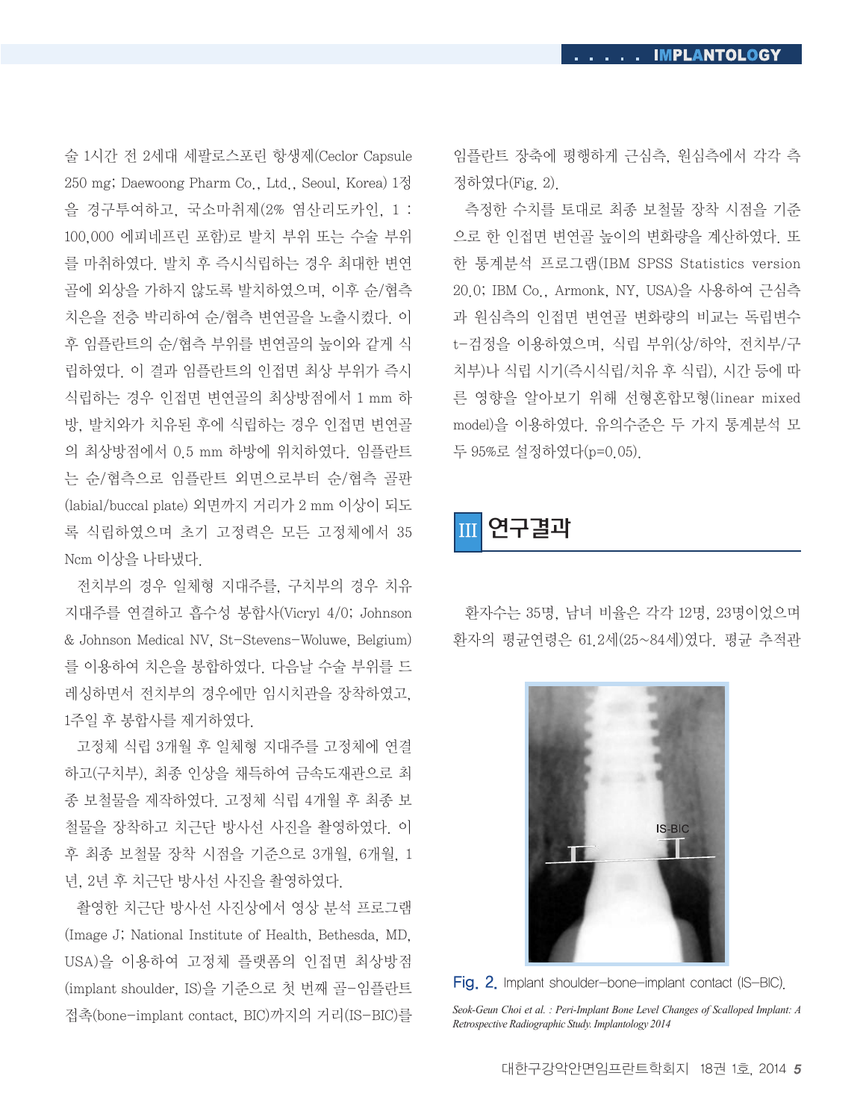술 1시간 전 2세대 세팔로스포린 항생제(Ceclor Capsule 250 mg; Daewoong Pharm Co., Ltd., Seoul, Korea) 1정 을 경구투여하고, 국소마취제(2% 염산리도카인, 1 : 100,000 에피네프린 포함)로 발치 부위 또는 수술 부위 를 마취하였다. 발치 후 즉시식립하는 경우 최대한 변연 골에 외상을 가하지 않도록 발치하였으며, 이후 순/협측 치은을 전층 박리하여 순/협측 변연골을 노출시켰다. 이 후 임플란트의 순/협측 부위를 변연골의 높이와 같게 식 립하였다. 이 결과 임플란트의 인접면 최상 부위가 즉시 식립하는 경우 인접면 변연골의 최상방점에서 1 mm 하 방, 발치와가 치유된 후에 식립하는 경우 인접면 변연골 의 최상방점에서 0.5 mm 하방에 위치하였다. 임플란트 는 순/협측으로 임플란트 외면으로부터 순/협측 골판 (labial/buccal plate) 외면까지 거리가 2 mm 이상이 되도 록 식립하였으며 초기 고정력은 모든 고정체에서 35 Ncm 이상을 나타냈다.

전치부의 경우 일체형 지대주를, 구치부의 경우 치유 지대주를 연결하고 흡수성 봉합사(Vicryl 4/0; Johnson & Johnson Medical NV, St-Stevens-Woluwe, Belgium) 를 이용하여 치은을 봉합하였다. 다음날 수술 부위를 드 레싱하면서 전치부의 경우에만 임시치관을 장착하였고, 1주일 후 봉합사를 제거하였다.

고정체 식립 3개월 후 일체형 지대주를 고정체에 연결 하고(구치부), 최종 인상을 채득하여 금속도재관으로 최 종 보철물을 제작하였다. 고정체 식립 4개월 후 최종 보 철물을 장착하고 치근단 방사선 사진을 촬영하였다. 이 후 최종 보철물 장착 시점을 기준으로 3개월, 6개월, 1 년, 2년 후 치근단 방사선 사진을 촬영하였다.

촬영한 치근단 방사선 사진상에서 영상 분석 프로그램 (Image J; National Institute of Health, Bethesda, MD, USA)을 이용하여 고정체 플랫폼의 인접면 최상방점 (implant shoulder, IS)을 기준으로 첫 번째 골-임플란트 접촉(bone-implant contact, BIC)까지의 거리(IS-BIC)를 임플란트 장축에 평행하게 근심측, 원심측에서 각각 측 정하였다(Fig. 2).

측정한 수치를 토대로 최종 보철물 장착 시점을 기준 으로 한 인접면 변연골 높이의 변화량을 계산하였다. 또 한 통계분석 프로그램(IBM SPSS Statistics version 20.0; IBM Co., Armonk, NY, USA)을 사용하여 근심측 과 원심측의 인접면 변연골 변화량의 비교는 독립변수 t-검정을 이용하였으며, 식립 부위(상/하악, 전치부/구 치부)나 식립 시기(즉시식립/치유 후 식립), 시간 등에 따 른 영향을 알아보기 위해 선형혼합모형(linear mixed model)을 이용하였다. 유의수준은 두 가지 통계분석 모 두 95%로 설정하였다(p=0.05).

III 연구결과

환자수는 35명, 남녀 비율은 각각 12명, 23명이었으며 환자의 평균연령은 61.2세(25~84세)였다. 평균 추적관



Fig. 2. Implant shoulder-bone-implant contact (IS-BIC).

*Seok-Geun Choi et al. : Peri-Implant Bone Level Changes of Scalloped Implant: A Retrospective Radiographic Study. Implantology 2014*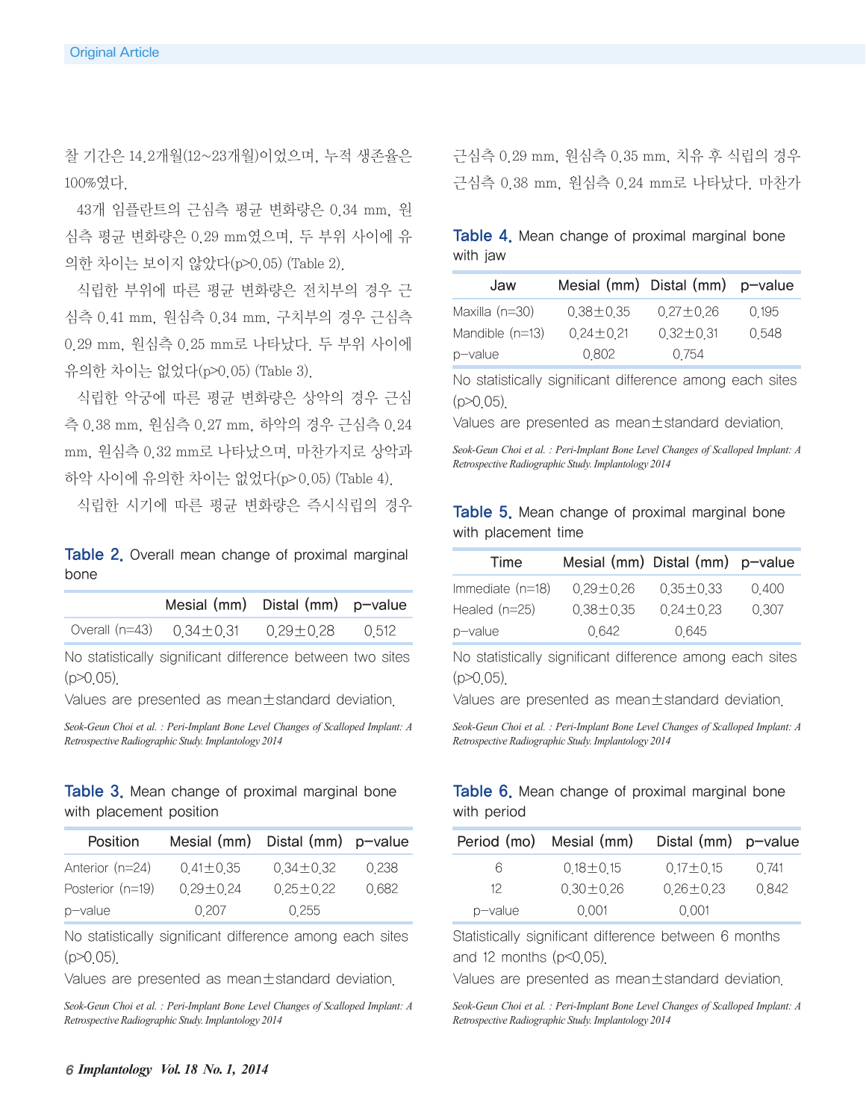찰 기간은 14.2개월(12~23개월)이었으며, 누적 생존율은 100%였다.

43개 임플란트의 근심측 평균 변화량은 0.34 mm, 원 심측 평균 변화량은 0.29 mm였으며, 두 부위 사이에 유 의한 차이는 보이지 않았다(p>0.05) (Table 2).

식립한 부위에 따른 평균 변화량은 전치부의 경우 근 심측 0.41 mm, 원심측 0.34 mm, 구치부의 경우 근심측 0.29 mm, 원심측 0.25 mm로 나타났다. 두 부위 사이에 유의한 차이는 없었다(p>0.05) (Table 3).

식립한 악궁에 따른 평균 변화량은 상악의 경우 근심 측 0.38 mm, 원심측 0.27 mm, 하악의 경우 근심측 0.24 mm, 원심측 0.32 mm로 나타났으며, 마찬가지로 상악과 하악 사이에 유의한 차이는 없었다(p>0.05) (Table 4).

식립한 시기에 따른 평균 변화량은 즉시식립의 경우

**Table 2.** Overall mean change of proximal marginal bone

| Mesial (mm) Distal (mm) p-value                      |  |
|------------------------------------------------------|--|
| Overall (n=43) $0.34 \pm 0.31$ $0.29 \pm 0.28$ 0.512 |  |
|                                                      |  |

No statistically significant difference between two sites  $(p > 0.05)$ .

Values are presented as mean±standard deviation.

*Seok-Geun Choi et al. : Peri-Implant Bone Level Changes of Scalloped Implant: A Retrospective Radiographic Study. Implantology 2014*

#### Table 3. Mean change of proximal marginal bone with placement position

| Position         | Mesial $(mm)$ Distal $(mm)$ p-value |               |         |
|------------------|-------------------------------------|---------------|---------|
| Anterior (n=24)  | $041 \pm 035$                       | $034 \pm 032$ | 0 2 3 8 |
| Posterior (n=19) | $029 + 024$                         | $025 \pm 022$ | 0682    |
| p-value          | 0 207                               | 0 2 5 5       |         |

No statistically significant difference among each sites (p>0.05).

Values are presented as mean±standard deviation.

*Seok-Geun Choi et al. : Peri-Implant Bone Level Changes of Scalloped Implant: A Retrospective Radiographic Study. Implantology 2014*

근심측 0.29 mm, 원심측 0.35 mm, 치유 후 식립의 경우 근심측 0.38 mm, 원심측 0.24 mm로 나타났다. 마찬가

#### Table 4. Mean change of proximal marginal bone with jaw

| Jaw               | Mesial (mm) Distal (mm) p-value |                 |         |
|-------------------|---------------------------------|-----------------|---------|
| Maxilla $(n=30)$  | $0.38 + 0.35$                   | $0.27 \pm 0.26$ | 0 1 9 5 |
| Mandible $(n=13)$ | $024 \pm 021$                   | $0.32 + 0.31$   | 0548    |
| p-value           | 0802                            | 0 7 5 4         |         |

No statistically significant difference among each sites  $(p > 0.05)$ .

Values are presented as mean±standard deviation.

*Seok-Geun Choi et al. : Peri-Implant Bone Level Changes of Scalloped Implant: A Retrospective Radiographic Study. Implantology 2014*

#### Table 5. Mean change of proximal marginal bone with placement time

| Time               | Mesial (mm) Distal (mm) p-value |               |       |
|--------------------|---------------------------------|---------------|-------|
| Immediate $(n=18)$ | $029 + 026$                     | $035 \pm 033$ | 0400  |
| Healed $(n=25)$    | $0.38 + 0.35$                   | $024 \pm 023$ | 0 307 |
| p-value            | 0 642                           | 0645          |       |

No statistically significant difference among each sites  $(p>0.05)$ .

Values are presented as mean±standard deviation.

*Seok-Geun Choi et al. : Peri-Implant Bone Level Changes of Scalloped Implant: A Retrospective Radiographic Study. Implantology 2014*

#### Table 6. Mean change of proximal marginal bone with period

|         | Period (mo) Mesial (mm) | Distal $(mm)$ p-value |       |
|---------|-------------------------|-----------------------|-------|
| 6       | $018 + 015$             | $017 + 015$           | 0 741 |
| 12      | $030 \pm 026$           | $026 \pm 023$         | 0842  |
| p-value | 0 0 0 1                 | 0 0 0 1               |       |

Statistically significant difference between 6 months

and 12 months  $(p<0.05)$ .

Values are presented as mean±standard deviation.

*Seok-Geun Choi et al. : Peri-Implant Bone Level Changes of Scalloped Implant: A Retrospective Radiographic Study. Implantology 2014*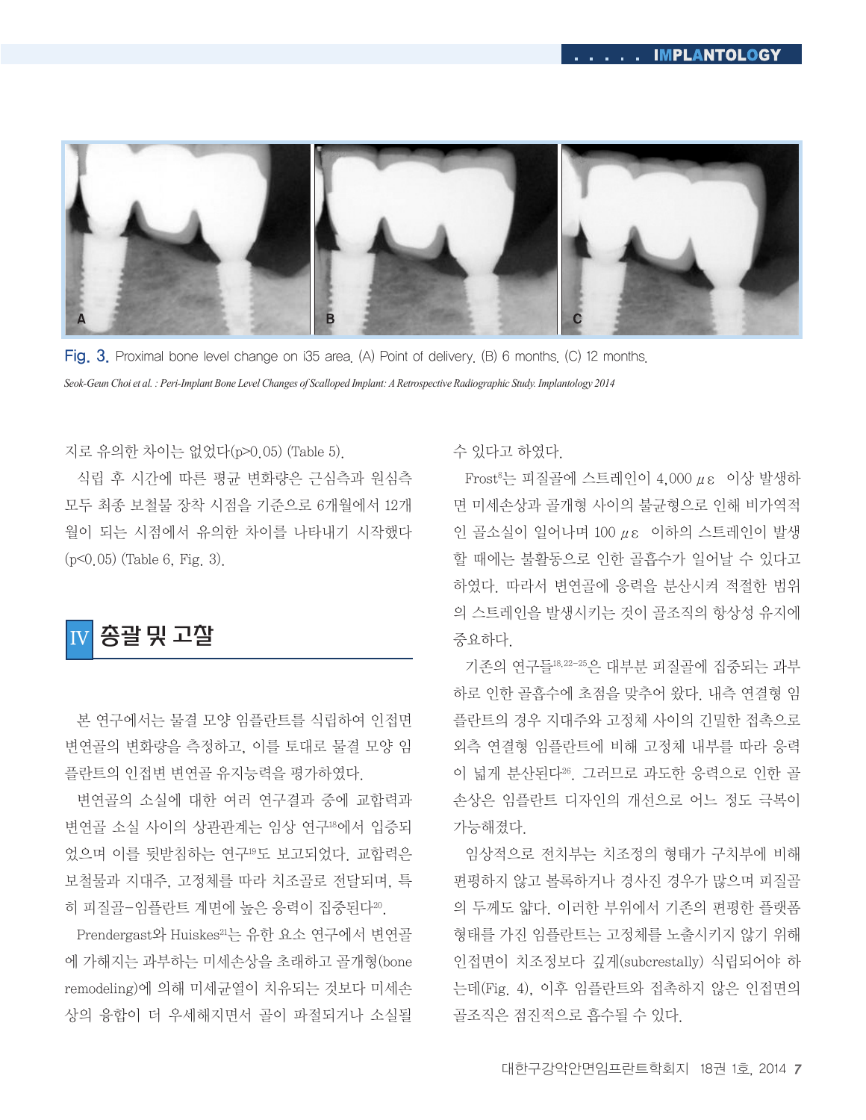

Fig. 3. Proximal bone level change on i35 area. (A) Point of delivery. (B) 6 months. (C) 12 months. *Seok-Geun Choi et al. : Peri-Implant Bone Level Changes of Scalloped Implant: A Retrospective Radiographic Study. Implantology 2014*

지로 유의한 차이는 없었다(p>0.05) (Table 5).

식립 후 시간에 따른 평균 변화량은 근심측과 원심측 모두 최종 보철물 장착 시점을 기준으로 6개월에서 12개 월이 되는 시점에서 유의한 차이를 나타내기 시작했다 (p<0.05) (Table 6, Fig. 3).

## IV 총괄 및 고찰

본 연구에서는 물결 모양 임플란트를 식립하여 인접면 변연골의 변화량을 측정하고, 이를 토대로 물결 모양 임 플란트의 인접변 변연골 유지능력을 평가하였다.

변연골의 소실에 대한 여러 연구결과 중에 교합력과 변연골 소실 사이의 상관관계는 임상 연구18에서 입증되 었으며 이를 뒷받침하는 연구19도 보고되었다. 교합력은 보철물과 지대주, 고정체를 따라 치조골로 전달되며, 특 히 피질골-임플란트 계면에 높은 응력이 집중된다<sup>20</sup>.

Prendergast와 Huiskes21는 유한 요소 연구에서 변연골 에 가해지는 과부하는 미세손상을 초래하고 골개형(bone remodeling)에 의해 미세균열이 치유되는 것보다 미세손 상의 융합이 더 우세해지면서 골이 파절되거나 소실될 수 있다고 하였다.

Frost8는 피질골에 스트레인이 4,000 με 이상 발생하 면 미세손상과 골개형 사이의 불균형으로 인해 비가역적 인 골소실이 일어나며 100 με 이하의 스트레인이 발생 할 때에는 불활동으로 인한 골흡수가 일어날 수 있다고 하였다. 따라서 변연골에 응력을 분산시켜 적절한 범위 의 스트레인을 발생시키는 것이 골조직의 항상성 유지에 중요하다.

기존의 연구들18,22-25은 대부분 피질골에 집중되는 과부 하로 인한 골흡수에 초점을 맞추어 왔다. 내측 연결형 임 플란트의 경우 지대주와 고정체 사이의 긴밀한 접촉으로 외측 연결형 임플란트에 비해 고정체 내부를 따라 응력 이 넓게 분산된다26. 그러므로 과도한 응력으로 인한 골 손상은 임플란트 디자인의 개선으로 어느 정도 극복이 가능해졌다.

임상적으로 전치부는 치조정의 형태가 구치부에 비해 편평하지 않고 볼록하거나 경사진 경우가 많으며 피질골 의 두께도 얇다. 이러한 부위에서 기존의 편평한 플랫폼 형태를 가진 임플란트는 고정체를 노출시키지 않기 위해 인접면이 치조정보다 깊게(subcrestally) 식립되어야 하 는데(Fig. 4), 이후 임플란트와 접촉하지 않은 인접면의 골조직은 점진적으로 흡수될 수 있다.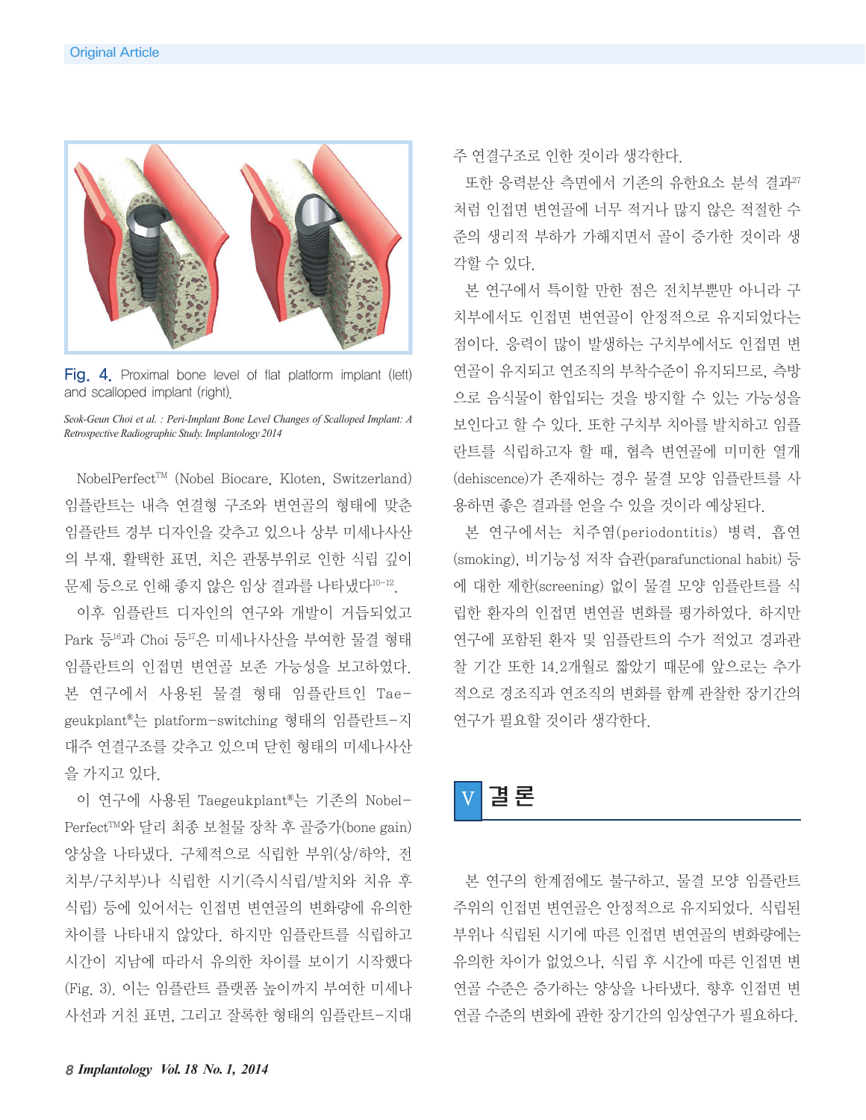

Fig. 4. Proximal bone level of flat platform implant (left) and scalloped implant (right).

*Seok-Geun Choi et al. : Peri-Implant Bone Level Changes of Scalloped Implant: A Retrospective Radiographic Study. Implantology 2014*

NobelPerfect™ (Nobel Biocare, Kloten, Switzerland) 임플란트는 내측 연결형 구조와 변연골의 형태에 맞춘 임플란트 경부 디자인을 갖추고 있으나 상부 미세나사산 의 부재, 활택한 표면, 치은 관통부위로 인한 식립 깊이 문제 등으로 인해 좋지 않은 임상 결과를 나타냈다10-12.

이후 임플란트 디자인의 연구와 개발이 거듭되었고 Park 등16과 Choi 등17은 미세나사산을 부여한 물결 형태 임플란트의 인접면 변연골 보존 가능성을 보고하였다. 본 연구에서 사용된 물결 형태 임플란트인 Taegeukplant®는 platform-switching 형태의 임플란트-지 대주 연결구조를 갖추고 있으며 닫힌 형태의 미세나사산 을 가지고 있다.

이 연구에 사용된 Taegeukplant®는 기존의 Nobel-PerfectTM와 달리 최종 보철물 장착 후 골증가(bone gain) 양상을 나타냈다. 구체적으로 식립한 부위(상/하악, 전 치부/구치부)나 식립한 시기(즉시식립/발치와 치유 후 식립) 등에 있어서는 인접면 변연골의 변화량에 유의한 차이를 나타내지 않았다. 하지만 임플란트를 식립하고 시간이 지남에 따라서 유의한 차이를 보이기 시작했다 (Fig. 3). 이는 임플란트 플랫폼 높이까지 부여한 미세나 사선과 거친 표면, 그리고 잘록한 형태의 임플란트-지대 주 연결구조로 인한 것이라 생각한다.

또한 응력분산 측면에서 기존의 유한요소 분석 결과27 처럼 인접면 변연골에 너무 적거나 많지 않은 적절한 수 준의 생리적 부하가 가해지면서 골이 증가한 것이라 생 각할 수 있다.

본 연구에서 특이할 만한 점은 전치부뿐만 아니라 구 치부에서도 인접면 변연골이 안정적으로 유지되었다는 점이다. 응력이 많이 발생하는 구치부에서도 인접면 변 연골이 유지되고 연조직의 부착수준이 유지되므로, 측방 으로 음식물이 함입되는 것을 방지할 수 있는 가능성을 보인다고 할 수 있다. 또한 구치부 치아를 발치하고 임플 란트를 식립하고자 할 때, 협측 변연골에 미미한 열개 (dehiscence)가 존재하는 경우 물결 모양 임플란트를 사 용하면 좋은 결과를 얻을 수 있을 것이라 예상된다.

본 연구에서는 치주염(periodontitis) 병력, 흡연 (smoking), 비기능성 저작 습관(parafunctional habit) 등 에 대한 제한(screening) 없이 물결 모양 임플란트를 식 립한 환자의 인접면 변연골 변화를 평가하였다. 하지만 연구에 포함된 환자 및 임플란트의 수가 적었고 경과관 찰 기간 또한 14.2개월로 짧았기 때문에 앞으로는 추가 적으로 경조직과 연조직의 변화를 함께 관찰한 장기간의 연구가 필요할 것이라 생각한다.



본 연구의 한계점에도 불구하고, 물결 모양 임플란트 주위의 인접면 변연골은 안정적으로 유지되었다. 식립된 부위나 식립된 시기에 따른 인접면 변연골의 변화량에는 유의한 차이가 없었으나, 식립 후 시간에 따른 인접면 변 연골 수준은 증가하는 양상을 나타냈다. 향후 인접면 변 연골 수준의 변화에 관한 장기간의 임상연구가 필요하다.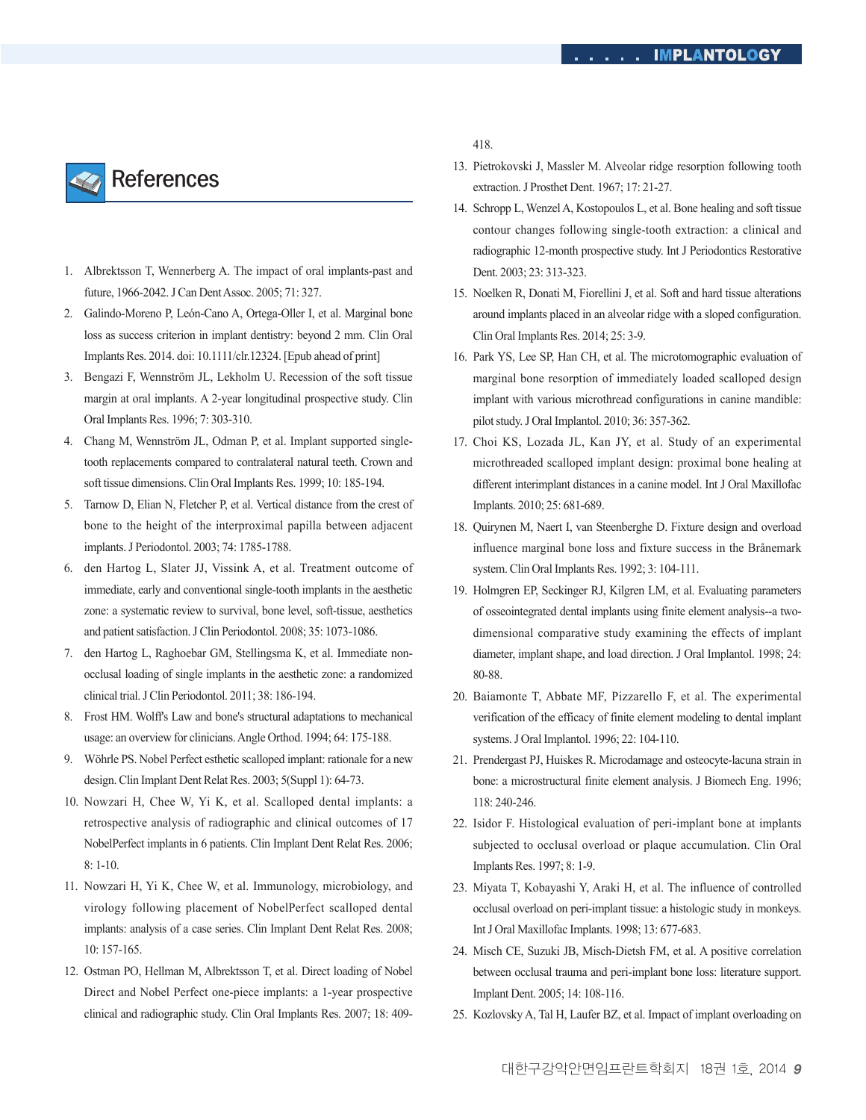

- 1. Albrektsson T, Wennerberg A. The impact of oral implants-past and future, 1966-2042.J Can DentAssoc. 2005; 71: 327.
- 2. Galindo-Moreno P, León-Cano A, Ortega-Oller I, et al. Marginal bone loss as success criterion in implant dentistry: beyond 2 mm. Clin Oral Implants Res. 2014. doi: 10.1111/clr.12324. [Epub ahead of print]
- 3. Bengazi F, Wennström JL, Lekholm U. Recession of the soft tissue margin at oral implants. A 2-year longitudinal prospective study. Clin Oral Implants Res. 1996; 7: 303-310.
- 4. Chang M, Wennström JL, Odman P, et al. Implant supported singletooth replacements compared to contralateral natural teeth. Crown and soft tissue dimensions. Clin Oral Implants Res. 1999; 10: 185-194.
- 5. Tarnow D, Elian N, Fletcher P, et al. Vertical distance from the crest of bone to the height of the interproximal papilla between adjacent implants.J Periodontol. 2003; 74: 1785-1788.
- 6. den Hartog L, Slater JJ, Vissink A, et al. Treatment outcome of immediate, early and conventional single-tooth implants in the aesthetic zone: a systematic review to survival, bone level, soft-tissue, aesthetics and patient satisfaction. J Clin Periodontol. 2008; 35: 1073-1086.
- 7. den Hartog L, Raghoebar GM, Stellingsma K, et al. Immediate nonocclusal loading of single implants in the aesthetic zone: a randomized clinical trial.J Clin Periodontol. 2011; 38: 186-194.
- 8. Frost HM. Wolff's Law and bone's structural adaptations to mechanical usage: an overview for clinicians.Angle Orthod. 1994; 64: 175-188.
- 9. Wöhrle PS. Nobel Perfect esthetic scalloped implant: rationale for a new design. Clin Implant Dent Relat Res. 2003; 5(Suppl 1): 64-73.
- 10. Nowzari H, Chee W, Yi K, et al. Scalloped dental implants: a retrospective analysis of radiographic and clinical outcomes of 17 NobelPerfect implants in 6 patients. Clin Implant Dent Relat Res. 2006; 8: 1-10.
- 11. Nowzari H, Yi K, Chee W, et al. Immunology, microbiology, and virology following placement of NobelPerfect scalloped dental implants: analysis of a case series. Clin Implant Dent Relat Res. 2008; 10: 157-165.
- 12. Ostman PO, Hellman M, Albrektsson T, et al. Direct loading of Nobel Direct and Nobel Perfect one-piece implants: a 1-year prospective clinical and radiographic study. Clin Oral Implants Res. 2007; 18: 409-

418.

- 13. Pietrokovski J, Massler M. Alveolar ridge resorption following tooth extraction.J Prosthet Dent. 1967; 17: 21-27.
- 14. Schropp L, Wenzel A, Kostopoulos L, et al. Bone healing and soft tissue contour changes following single-tooth extraction: a clinical and radiographic 12-month prospective study. Int J Periodontics Restorative Dent. 2003; 23: 313-323.
- 15. Noelken R, Donati M, Fiorellini J, et al. Soft and hard tissue alterations around implants placed in an alveolar ridge with a sloped configuration. Clin Oral Implants Res. 2014; 25: 3-9.
- 16. Park YS, Lee SP, Han CH, et al. The microtomographic evaluation of marginal bone resorption of immediately loaded scalloped design implant with various microthread configurations in canine mandible: pilotstudy.J Oral Implantol. 2010; 36: 357-362.
- 17. Choi KS, Lozada JL, Kan JY, et al. Study of an experimental microthreaded scalloped implant design: proximal bone healing at different interimplant distances in a canine model. Int J Oral Maxillofac Implants. 2010; 25: 681-689.
- 18. Quirynen M, Naert I, van Steenberghe D. Fixture design and overload influence marginal bone loss and fixture success in the Brånemark system. Clin Oral Implants Res. 1992; 3: 104-111.
- 19. Holmgren EP, Seckinger RJ, Kilgren LM, et al. Evaluating parameters of osseointegrated dental implants using finite element analysis--a twodimensional comparative study examining the effects of implant diameter, implant shape, and load direction. J Oral Implantol. 1998; 24: 80-88.
- 20. Baiamonte T, Abbate MF, Pizzarello F, et al. The experimental verification of the efficacy of finite element modeling to dental implant systems.J Oral Implantol. 1996; 22: 104-110.
- 21. Prendergast PJ, Huiskes R. Microdamage and osteocyte-lacuna strain in bone: a microstructural finite element analysis. J Biomech Eng. 1996; 118: 240-246.
- 22. Isidor F. Histological evaluation of peri-implant bone at implants subjected to occlusal overload or plaque accumulation. Clin Oral Implants Res. 1997; 8: 1-9.
- 23. Miyata T, Kobayashi Y, Araki H, et al. The influence of controlled occlusal overload on peri-implant tissue: a histologic study in monkeys. IntJ Oral Maxillofac Implants. 1998; 13: 677-683.
- 24. Misch CE, Suzuki JB, Misch-Dietsh FM, et al. A positive correlation between occlusal trauma and peri-implant bone loss: literature support. Implant Dent. 2005; 14: 108-116.
- 25. Kozlovsky A, Tal H, Laufer BZ, et al. Impact of implant overloading on